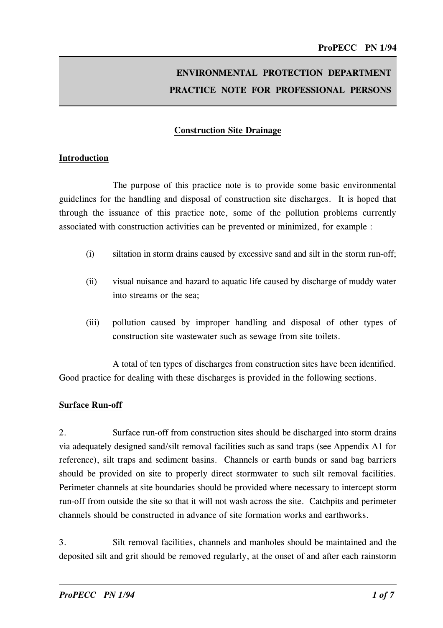# ENVIRONMENTAL PROTECTION DEPARTMENT PRACTICE NOTE FOR PROFESSIONAL PERSONS

## Construction Site Draina�e

#### Introduction

The purpose of this practice note is to provide some basic environmental guidelines for the handling and disposal of construction site discharges. It is hoped that through the issuance of this practice note, some of the pollution problems currently associated with construction activities can be prevented or minimized, for example :

- (i) siltation in storm drains caused by excessive sand and silt in the storm run-off;
- (ii) visual nuisance and hazard to aquatic life caused by discharge of muddy water into streams or the sea;
- (iii) pollution caused by improper handling and disposal of other types of construction site wastewater such as sewage from site toilets.

A total of ten types of discharges from construction sites have been identified. Good practice for dealing with these discharges is provided in the following sections.

#### Surface Run-off

2. Surface run-off from construction sites should be discharged into storm drains via adequately designed sand/silt removal facilities such as sand traps (see Appendix Al for reference), silt traps and sediment basins. Channels or earth bunds or sand bag barriers should be provided on site to properly direct stormwater to such silt removal facilities. Perimeter channels at site boundaries should be provided where necessary to intercept storm run-off from outside the site so that it will not wash across the site. Catchpits and perimeter channels should be constructed in advance of site formation works and earthworks.

3. Silt removal facilities, channels and manholes should be maintained and the deposited silt and grit should be removed regularly, at the onset of and after each rainstorm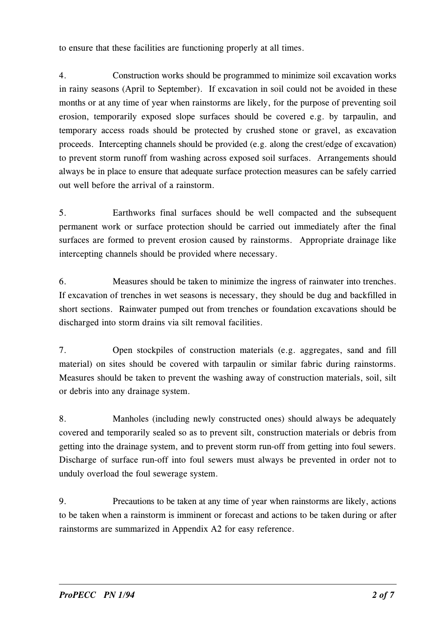to ensure that these facilities are functioning properly at all times.

4. Construction works should be programmed to minimize soil excavation works in rainy seasons (April to September). If excavation in soil could not be avoided in these months or at any time of year when rainstorms are likely, for the purpose of preventing soil erosion, temporarily exposed slope surfaces should be covered e.g. by tarpaulin, and temporary access roads should be protected by crushed stone or gravel, as excavation proceeds. Intercepting channels should be provided (e.g. along the crest/edge of excavation) to prevent storm runoff from washing across exposed soil surfaces. Arrangements should always be in place to ensure that adequate surface protection measures can be safely carried out well before the arrival of a rainstorm.

5. Earthworks final surfaces should be well compacted and the subsequent permanent work or surface protection should be carried out immediately after the final surfaces are formed to prevent erosion caused by rainstorms. Appropriate drainage like intercepting channels should be provided where necessary.

6. Measures should be taken to minimize the ingress of rainwater into trenches. If excavation of trenches in wet seasons is necessary, they should be dug and backfilled in short sections. Rainwater pumped out from trenches or foundation excavations should be discharged into storm drains via silt removal facilities.

7. Open stockpiles of construction materials (e.g. aggregates, sand and fill material) on sites should be covered with tarpaulin or similar fabric during rainstorms. Measures should be taken to prevent the washing away of construction materials, soil, silt or debris into any drainage system.

8. Manholes (including newly constructed ones) should always be adequately covered and temporarily sealed so as to prevent silt, construction materials or debris from getting into the drainage system, and to prevent storm run-off from getting into foul sewers. Discharge of surface run-off into foul sewers must always be prevented in order not to unduly overload the foul sewerage system.

9. Precautions to be taken at any time of year when rainstorms are likely, actions to be taken when a rainstorm is imminent or forecast and actions to be taken during or after rainstorms are summarized in Appendix A2 for easy reference.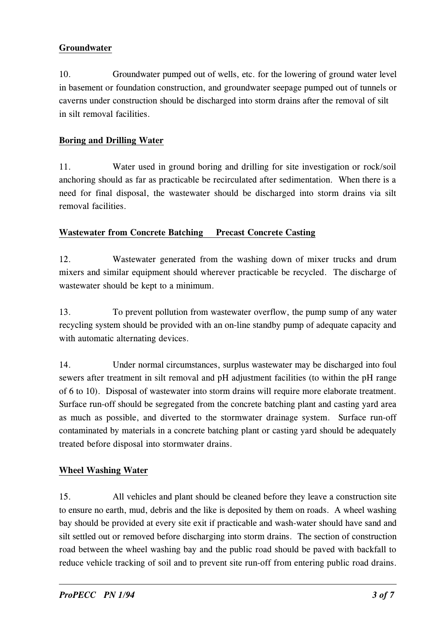## Groundwater

l0. Groundwater pumped out of wells, etc. for the lowering of ground water level in basement or foundation construction, and groundwater seepage pumped out of tunnels or caverns under construction should be discharged into storm drains after the removal of silt in silt removal facilities.

## Boring and Drilling Water

 anchoring should as far as practicable be recirculated after sedimentation. When there is a ll. Water used in ground boring and drilling for site investigation or rock/soil need for final disposal, the wastewater should be discharged into storm drains via silt removal facilities.

## Wastewater from Concrete Batching Precast Concrete Casting

l2. Wastewater generated from the washing down of mixer trucks and drum mixers and similar equipment should wherever practicable be recycled. The discharge of wastewater should be kept to a minimum.

l3. To prevent pollution from wastewater overflow, the pump sump of any water recycling system should be provided with an on-line standby pump of adequate capacity and with automatic alternating devices.

 of 6 to l0). Disposal of wastewater into storm drains will require more elaborate treatment. l4. Under normal circumstances, surplus wastewater may be discharged into foul sewers after treatment in silt removal and pH adjustment facilities (to within the pH range Surface run-off should be segregated from the concrete batching plant and casting yard area as much as possible, and diverted to the stormwater drainage system. Surface run-off contaminated by materials in a concrete batching plant or casting yard should be adequately treated before disposal into stormwater drains.

## Wheel Washing Water

 to ensure no earth, mud, debris and the like is deposited by them on roads. A wheel washing l5. All vehicles and plant should be cleaned before they leave a construction site bay should be provided at every site exit if practicable and wash-water should have sand and silt settled out or removed before discharging into storm drains. The section of construction road between the wheel washing bay and the public road should be paved with backfall to reduce vehicle tracking of soil and to prevent site run-off from entering public road drains.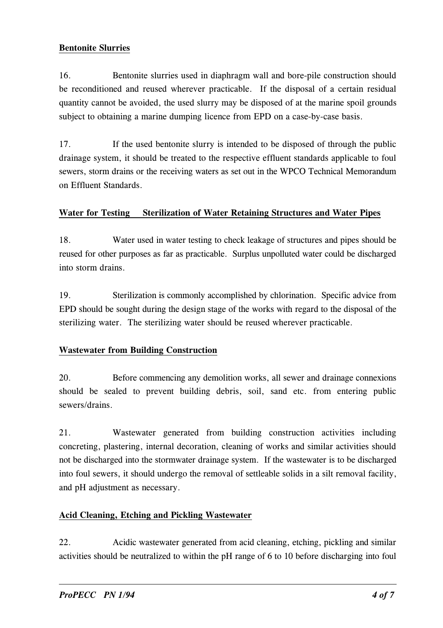#### Bentonite Slurries

l6. Bentonite slurries used in diaphragm wall and bore-pile construction should be reconditioned and reused wherever practicable. If the disposal of a certain residual quantity cannot be avoided, the used slurry may be disposed of at the marine spoil grounds subject to obtaining a marine dumping licence from EPD on a case-by-case basis.

l7. If the used bentonite slurry is intended to be disposed of through the public drainage system, it should be treated to the respective effluent standards applicable to foul sewers, storm drains or the receiving waters as set out in the WPCO Technical Memorandum on Effluent Standards.

#### Water for Testing Sterilization of Water Retaining Structures and Water Pipes

l8. Water used in water testing to check leakage of structures and pipes should be reused for other purposes as far as practicable. Surplus unpolluted water could be discharged into storm drains.

l9. Sterilization is commonly accomplished by chlorination. Specific advice from EPD should be sought during the design stage of the works with regard to the disposal of the sterilizing water. The sterilizing water should be reused wherever practicable.

## **Wastewater from Building Construction**

20. Before commencing any demolition works, all sewer and drainage connexions should be sealed to prevent building debris, soil, sand etc. from entering public sewers/drains.

2l. Wastewater generated from building construction activities including concreting, plastering, internal decoration, cleaning of works and similar activities should not be discharged into the stormwater drainage system. If the wastewater is to be discharged into foul sewers, it should undergo the removal of settleable solids in a silt removal facility, and pH adjustment as necessary.

## Acid Cleaning, Etching and Pickling Wastewater

22. Acidic wastewater generated from acid cleaning, etching, pickling and similar activities should be neutralized to within the pH range of 6 to l0 before discharging into foul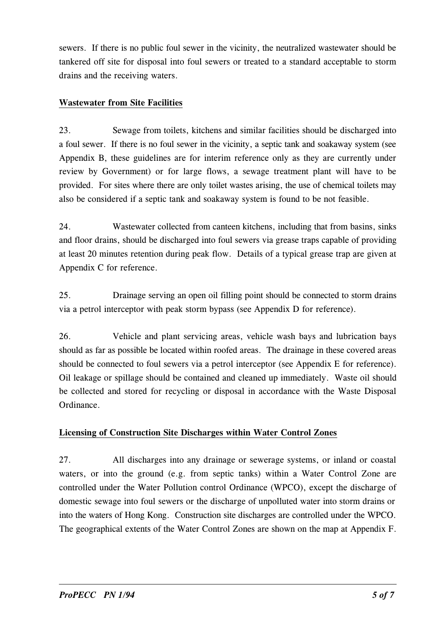sewers. If there is no public foul sewer in the vicinity, the neutralized wastewater should be tankered off site for disposal into foul sewers or treated to a standard acceptable to storm drains and the receiving waters.

## Wastewater from Site Facilities

23. Sewage from toilets, kitchens and similar facilities should be discharged into a foul sewer. If there is no foul sewer in the vicinity, a septic tank and soakaway system (see Appendix B, these guidelines are for interim reference only as they are currently under review by Government) or for large flows, a sewage treatment plant will have to be provided. For sites where there are only toilet wastes arising, the use of chemical toilets may also be considered if a septic tank and soakaway system is found to be not feasible.

24. Wastewater collected from canteen kitchens, including that from basins, sinks and floor drains, should be discharged into foul sewers via grease traps capable of providing at least 20 minutes retention during peak flow. Details of a typical grease trap are given at Appendix C for reference.

25. Drainage serving an open oil filling point should be connected to storm drains via a petrol interceptor with peak storm bypass (see Appendix D for reference).

26. Vehicle and plant servicing areas, vehicle wash bays and lubrication bays should as far as possible be located within roofed areas. The drainage in these covered areas should be connected to foul sewers via a petrol interceptor (see Appendix E for reference). Oil leakage or spillage should be contained and cleaned up immediately. Waste oil should be collected and stored for recycling or disposal in accordance with the Waste Disposal Ordinance.

## Licensing of Construction Site Discharges within Water Control Zones

27. All discharges into any drainage or sewerage systems, or inland or coastal waters, or into the ground (e.g. from septic tanks) within a Water Control Zone are controlled under the Water Pollution control Ordinance (WPCO), except the discharge of domestic sewage into foul sewers or the discharge of unpolluted water into storm drains or into the waters of Hong Kong. Construction site discharges are controlled under the WPCO. The geographical extents of the Water Control Zones are shown on the map at Appendix F.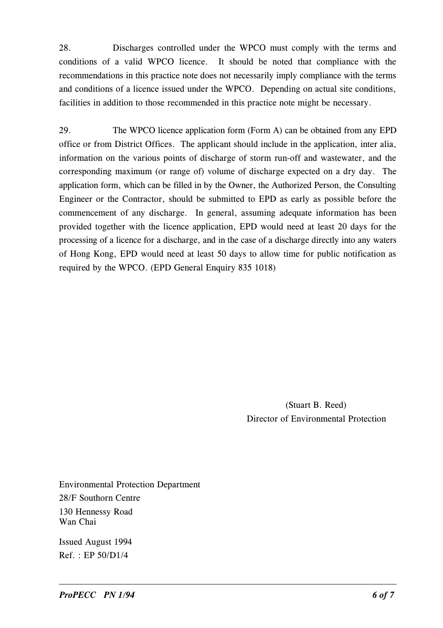28. Discharges controlled under the WPCO must comply with the terms and conditions of a valid WPCO licence. It should be noted that compliance with the recommendations in this practice note does not necessarily imply compliance with the terms and conditions of a licence issued under the WPCO. Depending on actual site conditions, facilities in addition to those recommended in this practice note might be necessary.

29. The WPCO licence application form (Form A) can be obtained from any EPD office or from District Offices. The applicant should include in the application, inter alia, information on the various points of discharge of storm run-off and wastewater, and the corresponding maximum (or range of) volume of discharge expected on a dry day. The application form, which can be filled in by the Owner, the Authorized Person, the Consulting Engineer or the Contractor, should be submitted to EPD as early as possible before the commencement of any discharge. In general, assuming adequate information has been provided together with the licence application, EPD would need at least 20 days for the processing of a licence for a discharge, and in the case of a discharge directly into any waters of Hong Kong, EPD would need at least 50 days to allow time for public notification as required by the WPCO. (EPD General Enquiry 835 l0l8)

> (Stuart B. Reed) Director of Environmental Protection

Environmental Protection Department 28/F Southorn Centre l30 Hennessy Road Wan Chai

Issued August l994 Ref. : EP 50/Dl/4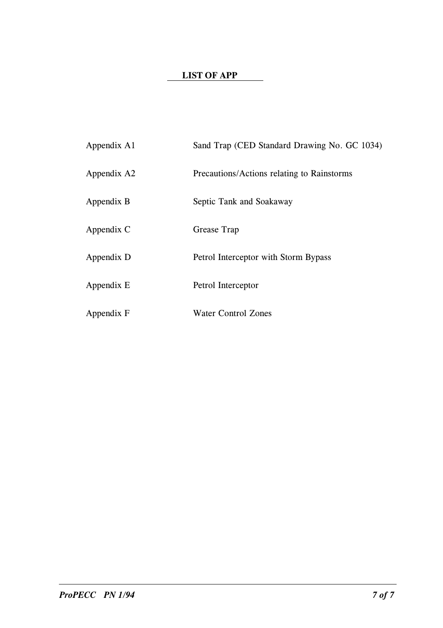## LIST OF APP

| Appendix A1 | Sand Trap (CED Standard Drawing No. GC 1034) |
|-------------|----------------------------------------------|
| Appendix A2 | Precautions/Actions relating to Rainstorms   |
| Appendix B  | Septic Tank and Soakaway                     |
| Appendix C  | Grease Trap                                  |
| Appendix D  | Petrol Interceptor with Storm Bypass         |
| Appendix E  | Petrol Interceptor                           |
| Appendix F  | Water Control Zones                          |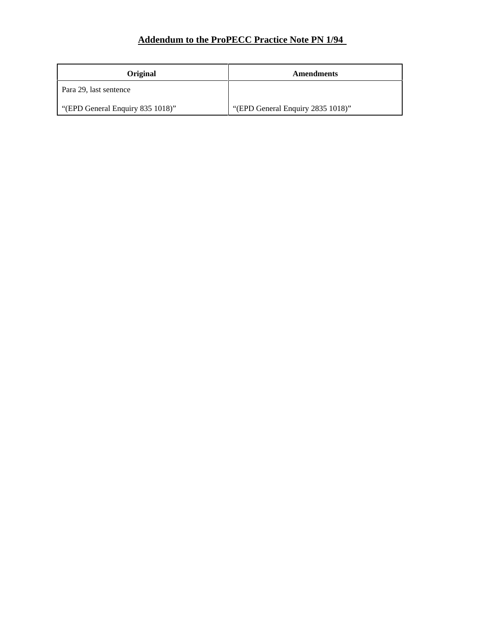## **Addendum to the ProPECC Practice Note PN 1/94**

| <b>Original</b>                  | Amendments                        |
|----------------------------------|-----------------------------------|
| Para 29, last sentence           |                                   |
| "(EPD General Enquiry 835 1018)" | "(EPD General Enquiry 2835 1018)" |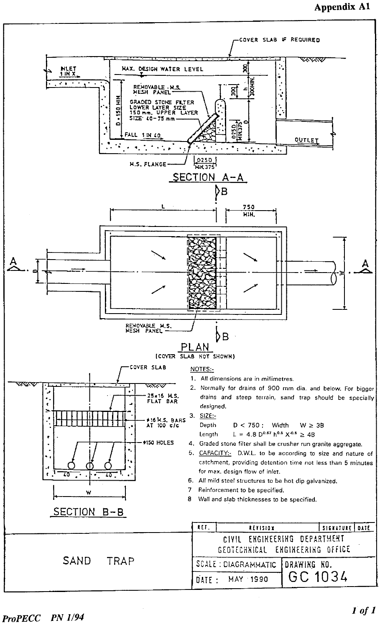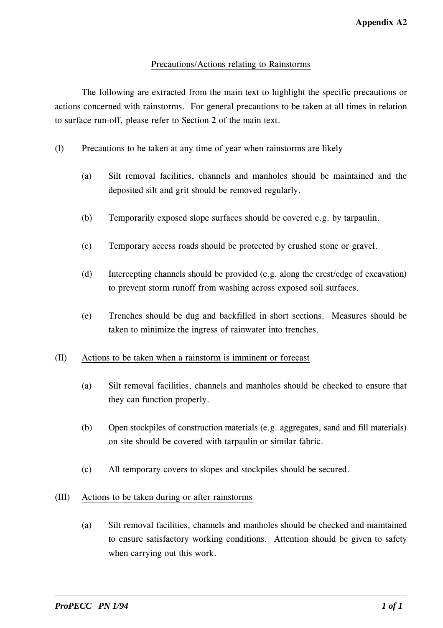#### Precautions/Actions relating to Rainstorms

The following are extracted from the main text to highlight the specific precautions or actions concerned with rainstorms. For general precautions to be taken at all times in relation to surface run-off, please refer to Section 2 of the main text.

#### (1) Precautions to be taken at any time of year when rainstorms are likely

- (a) Silt removal facilities, channels and manholes should be maintained and the deposited silt and grit should be removed regularly.
- (b) Temporarily exposed slope surfaces should be covered e.g. by tarpaulin.
- (c) Temporary access roads should be protected by crushed stone or gravel.
- (d) 1ntercepting channels should be provided (e.g. along the crest/edge of excavation) to prevent storm runoff from washing across exposed soil surfaces.
- (e) Trenches should be dug and backfilled in short sections. Measures should be taken to minimize the ingress of rainwater into trenches.

#### (11) Actions to be taken when a rainstorm is imminent or forecast

- (a) Silt removal facilities, channels and manholes should be checked to ensure that they can function properly.
- (b) Open stockpiles of construction materials (e.g. aggregates, sand and fill materials) on site should be covered with tarpaulin or similar fabric.
- (c) All temporary covers to slopes and stockpiles should be secured.

#### (111) Actions to be taken during or after rainstorms

(a) Silt removal facilities, channels and manholes should be checked and maintained to ensure satisfactory working conditions. Attention should be given to safety when carrying out this work.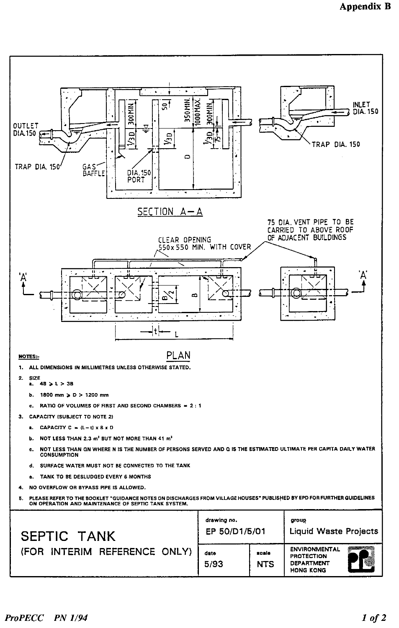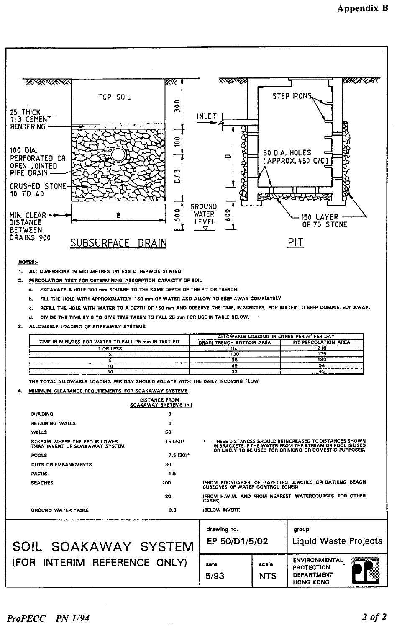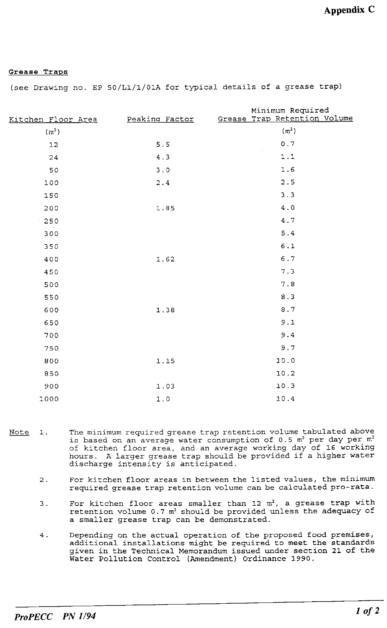#### Grease Traps

(see Drawing no. EP 50/L1/1/01A for typical details of a grease trap)

| Kitchen Floor Area | Peaking Factor | Minimum Required<br>Grease Trap Retention Volume                                |
|--------------------|----------------|---------------------------------------------------------------------------------|
| (m <sup>2</sup> )  |                | $(\mathfrak{m}^3)$                                                              |
| 12                 | 5.5            | $\ensuremath{\textnormal{\textbf{0}}}$ . $\ensuremath{\textnormal{\textbf{7}}}$ |
| 24                 | 4.3            | $1.1$                                                                           |
| 50                 | 3.0            | 1.6                                                                             |
| 100                | $2\,.\,4$      | 2.5                                                                             |
| 150                |                | 3.3                                                                             |
| 200                | 1.85           | $4\ .\ 0$                                                                       |
| 250                |                | 4.7                                                                             |
| 300                |                | 5.4                                                                             |
| 350                |                | $6.1\,$                                                                         |
| 400                | 1.62           | $6.7\,$                                                                         |
| 450                |                | 7.3                                                                             |
| 500                |                | 7.8                                                                             |
| 550                |                | 8.3                                                                             |
| 600                | 1.38           | 8.7                                                                             |
| 650                |                | 9.1                                                                             |
| 700                |                | 9.4                                                                             |
| 750                |                | 9.7                                                                             |
| 800                | 1.15           | 10.0                                                                            |
| 850                |                | 10.2                                                                            |
| 900                | 1.03           | 10.3                                                                            |
| 1000               | $1.0$          | 10.4                                                                            |

- The minimum required grease trap retention volume tabulated above Note  $1.$ is based on an average water consumption of 0.5 m<sup>3</sup> per day per m<sup>2</sup><br>of kitchen floor area, and an average working day of 16 working<br>hours. A larger grease trap should be provided if a higher water discharge intensity is anticipated.
	- For kitchen floor areas in between the listed values, the minimum  $2$  . required grease trap retention volume can be calculated pro-rata.
	- For kitchen floor areas smaller than  $12 \text{ m}^2$ , a grease trap with 3. retention volume 0.7 m<sup>3</sup> should be provided unless the adequacy of a smaller grease trap can be demonstrated.
	- $4.$ Depending on the actual operation of the proposed food premises, additional installations might be required to meet the standards given in the Technical Memorandum issued under section 21 of the Water Pollution Control (Amendment) Ordinance 1990.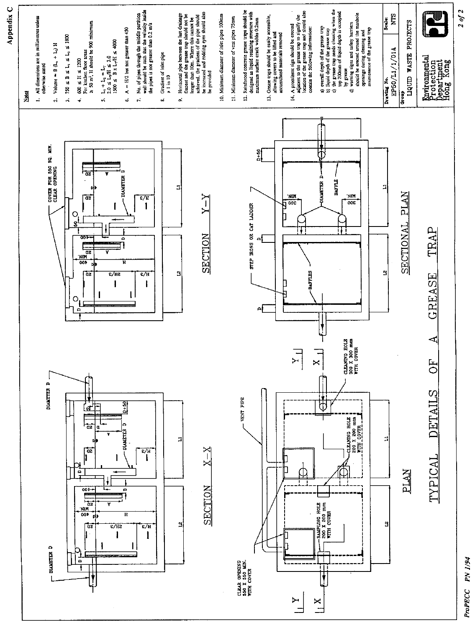



 $\frac{X}{I}$ 

ProPECC PN 1/94

 $20f2$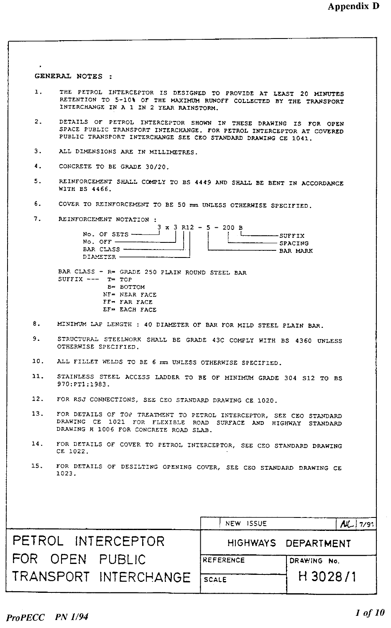| $\mathbf{1}$ .<br>THE PETROL INTERCEPTOR IS DESIGNED TO PROVIDE AT LEAST 20 MINUTES<br>RETENTION TO 5-10% OF THE MAXIMUM RUNOFF COLLECTED BY THE TRANSPORT<br>INTERCHANGE IN A 1 IN 2 YEAR RAINSTORM.<br>2.<br>DETAILS OF PETROL INTERCEPTOR SHOWN IN THESE DRAWING IS FOR OPEN<br>SPACE PUBLIC TRANSPORT INTERCHANGE. FOR PETROL INTERCEPTOR AT COVERED<br>PUBLIC TRANSPORT INTERCHANGE SEE CEO STANDARD DRAWING CE 1041.<br>3.<br>ALL DIMENSIONS ARE IN MILLIMETRES.<br>4.<br>CONCRETE TO BE GRADE 30/20.<br>5.<br>REINFORCEMENT SHALL COMPLY TO BS 4449 AND SHALL BE BENT IN ACCORDANCE<br>WITH BS 4466.<br>6.<br>COVER TO REINFORCEMENT TO BE 50 mm UNLESS OTHERWISE SPECIFIED.<br>7. REINFORCEMENT NOTATION :<br>$3 \times 3$ R12 - 5 - 200 B<br>No. OF SETS $\frac{\qquad \qquad }{\qquad \qquad }$<br>No. OFF $\qquad$<br>--------- SPACING<br>$---$ BAR MARK<br>DIAMETER ---------<br>BAR CLASS - R= GRADE 250 PLAIN ROUND STEEL BAR<br>SUFFIX $---$ T= TOP<br>В= ВОТТОМ<br>NF= NEAR FACE<br>FF- FAR FACE<br>EF= EACH FACE<br>8.<br>MINIMUM LAP LENGTH : 40 DIAMETER OF BAR FOR MILD STEEL PLAIN BAR.<br>9.<br>STRUCTURAL STEELWORK SHALL BE GRADE 43C COMPLY WITH BS 4360 UNLESS<br>OTHERWISE SPECIFIED.<br>10. ALL FILLET WELDS TO BE 6 mm UNLESS OTHERWISE SPECIFIED.<br>11.<br>STAINLESS STEEL ACCESS LADDER TO BE OF MINIMUM GRADE 304 S12 TO BS<br>970:PT1:1983.<br>12. FOR RSJ CONNECTIONS, SEE CEO STANDARD DRAWING CE 1020.<br>13.<br>FOR DETAILS OF TOP TREATMENT TO PETROL INTERCEPTOR, SEE CEO STANDARD<br>DRAWING CE 1021 FOR FLEXIBLE ROAD SURFACE AND HIGHWAY STANDARD<br>DRAWING H 1006 FOR CONCRETE ROAD SLAB.<br>14.<br>FOR DETAILS OF COVER TO PETROL INTERCEPTOR, SEE CEO STANDARD DRAWING |  |  |  |  |  |
|------------------------------------------------------------------------------------------------------------------------------------------------------------------------------------------------------------------------------------------------------------------------------------------------------------------------------------------------------------------------------------------------------------------------------------------------------------------------------------------------------------------------------------------------------------------------------------------------------------------------------------------------------------------------------------------------------------------------------------------------------------------------------------------------------------------------------------------------------------------------------------------------------------------------------------------------------------------------------------------------------------------------------------------------------------------------------------------------------------------------------------------------------------------------------------------------------------------------------------------------------------------------------------------------------------------------------------------------------------------------------------------------------------------------------------------------------------------------------------------------------------------------------------------------------------------------------------------------------------------------------------------------------------------------------------------------------------------------|--|--|--|--|--|
|                                                                                                                                                                                                                                                                                                                                                                                                                                                                                                                                                                                                                                                                                                                                                                                                                                                                                                                                                                                                                                                                                                                                                                                                                                                                                                                                                                                                                                                                                                                                                                                                                                                                                                                        |  |  |  |  |  |
|                                                                                                                                                                                                                                                                                                                                                                                                                                                                                                                                                                                                                                                                                                                                                                                                                                                                                                                                                                                                                                                                                                                                                                                                                                                                                                                                                                                                                                                                                                                                                                                                                                                                                                                        |  |  |  |  |  |
|                                                                                                                                                                                                                                                                                                                                                                                                                                                                                                                                                                                                                                                                                                                                                                                                                                                                                                                                                                                                                                                                                                                                                                                                                                                                                                                                                                                                                                                                                                                                                                                                                                                                                                                        |  |  |  |  |  |
|                                                                                                                                                                                                                                                                                                                                                                                                                                                                                                                                                                                                                                                                                                                                                                                                                                                                                                                                                                                                                                                                                                                                                                                                                                                                                                                                                                                                                                                                                                                                                                                                                                                                                                                        |  |  |  |  |  |
|                                                                                                                                                                                                                                                                                                                                                                                                                                                                                                                                                                                                                                                                                                                                                                                                                                                                                                                                                                                                                                                                                                                                                                                                                                                                                                                                                                                                                                                                                                                                                                                                                                                                                                                        |  |  |  |  |  |
|                                                                                                                                                                                                                                                                                                                                                                                                                                                                                                                                                                                                                                                                                                                                                                                                                                                                                                                                                                                                                                                                                                                                                                                                                                                                                                                                                                                                                                                                                                                                                                                                                                                                                                                        |  |  |  |  |  |
|                                                                                                                                                                                                                                                                                                                                                                                                                                                                                                                                                                                                                                                                                                                                                                                                                                                                                                                                                                                                                                                                                                                                                                                                                                                                                                                                                                                                                                                                                                                                                                                                                                                                                                                        |  |  |  |  |  |
|                                                                                                                                                                                                                                                                                                                                                                                                                                                                                                                                                                                                                                                                                                                                                                                                                                                                                                                                                                                                                                                                                                                                                                                                                                                                                                                                                                                                                                                                                                                                                                                                                                                                                                                        |  |  |  |  |  |
|                                                                                                                                                                                                                                                                                                                                                                                                                                                                                                                                                                                                                                                                                                                                                                                                                                                                                                                                                                                                                                                                                                                                                                                                                                                                                                                                                                                                                                                                                                                                                                                                                                                                                                                        |  |  |  |  |  |
|                                                                                                                                                                                                                                                                                                                                                                                                                                                                                                                                                                                                                                                                                                                                                                                                                                                                                                                                                                                                                                                                                                                                                                                                                                                                                                                                                                                                                                                                                                                                                                                                                                                                                                                        |  |  |  |  |  |
|                                                                                                                                                                                                                                                                                                                                                                                                                                                                                                                                                                                                                                                                                                                                                                                                                                                                                                                                                                                                                                                                                                                                                                                                                                                                                                                                                                                                                                                                                                                                                                                                                                                                                                                        |  |  |  |  |  |
|                                                                                                                                                                                                                                                                                                                                                                                                                                                                                                                                                                                                                                                                                                                                                                                                                                                                                                                                                                                                                                                                                                                                                                                                                                                                                                                                                                                                                                                                                                                                                                                                                                                                                                                        |  |  |  |  |  |
|                                                                                                                                                                                                                                                                                                                                                                                                                                                                                                                                                                                                                                                                                                                                                                                                                                                                                                                                                                                                                                                                                                                                                                                                                                                                                                                                                                                                                                                                                                                                                                                                                                                                                                                        |  |  |  |  |  |
|                                                                                                                                                                                                                                                                                                                                                                                                                                                                                                                                                                                                                                                                                                                                                                                                                                                                                                                                                                                                                                                                                                                                                                                                                                                                                                                                                                                                                                                                                                                                                                                                                                                                                                                        |  |  |  |  |  |
| CE 1022.                                                                                                                                                                                                                                                                                                                                                                                                                                                                                                                                                                                                                                                                                                                                                                                                                                                                                                                                                                                                                                                                                                                                                                                                                                                                                                                                                                                                                                                                                                                                                                                                                                                                                                               |  |  |  |  |  |
| 15.<br>FOR DETAILS OF DESILTING OPENING COVER, SEE CEO STANDARD DRAWING CE<br>1023.                                                                                                                                                                                                                                                                                                                                                                                                                                                                                                                                                                                                                                                                                                                                                                                                                                                                                                                                                                                                                                                                                                                                                                                                                                                                                                                                                                                                                                                                                                                                                                                                                                    |  |  |  |  |  |
|                                                                                                                                                                                                                                                                                                                                                                                                                                                                                                                                                                                                                                                                                                                                                                                                                                                                                                                                                                                                                                                                                                                                                                                                                                                                                                                                                                                                                                                                                                                                                                                                                                                                                                                        |  |  |  |  |  |
| NEW ISSUE<br>$AU$ , 7/91                                                                                                                                                                                                                                                                                                                                                                                                                                                                                                                                                                                                                                                                                                                                                                                                                                                                                                                                                                                                                                                                                                                                                                                                                                                                                                                                                                                                                                                                                                                                                                                                                                                                                               |  |  |  |  |  |
| PETROL INTERCEPTOR<br>HIGHWAYS DEPARTMENT                                                                                                                                                                                                                                                                                                                                                                                                                                                                                                                                                                                                                                                                                                                                                                                                                                                                                                                                                                                                                                                                                                                                                                                                                                                                                                                                                                                                                                                                                                                                                                                                                                                                              |  |  |  |  |  |
| FOR OPEN PUBLIC<br><b>REFERENCE</b><br>DRAWING No.                                                                                                                                                                                                                                                                                                                                                                                                                                                                                                                                                                                                                                                                                                                                                                                                                                                                                                                                                                                                                                                                                                                                                                                                                                                                                                                                                                                                                                                                                                                                                                                                                                                                     |  |  |  |  |  |
| H 3028/1<br>TRANSPORT INTERCHANGE<br><b>SCALE</b>                                                                                                                                                                                                                                                                                                                                                                                                                                                                                                                                                                                                                                                                                                                                                                                                                                                                                                                                                                                                                                                                                                                                                                                                                                                                                                                                                                                                                                                                                                                                                                                                                                                                      |  |  |  |  |  |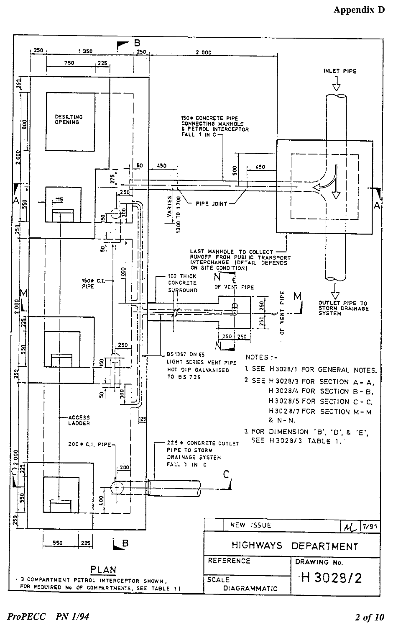## **Appendix D**

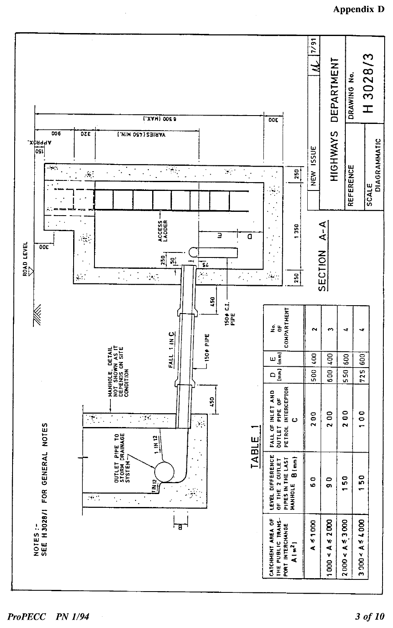

**ProPECC PN 1/94**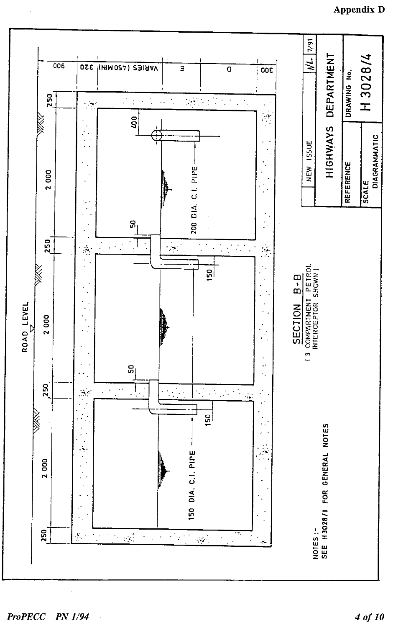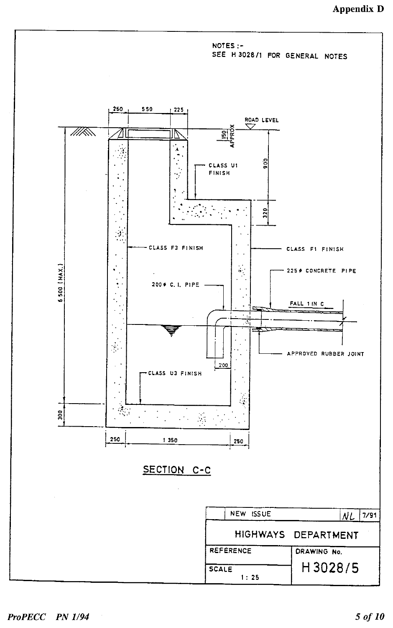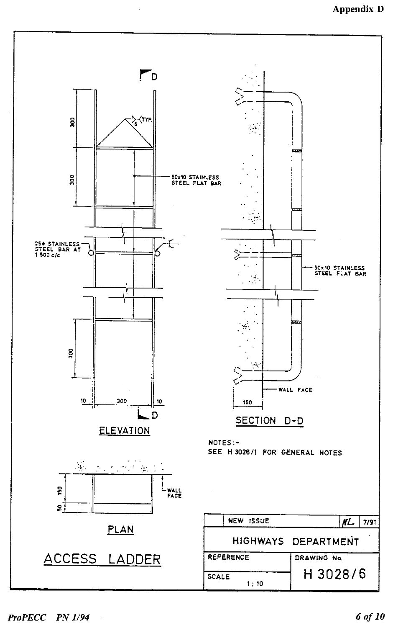

**ProPECC PN 1/94**  $\sim$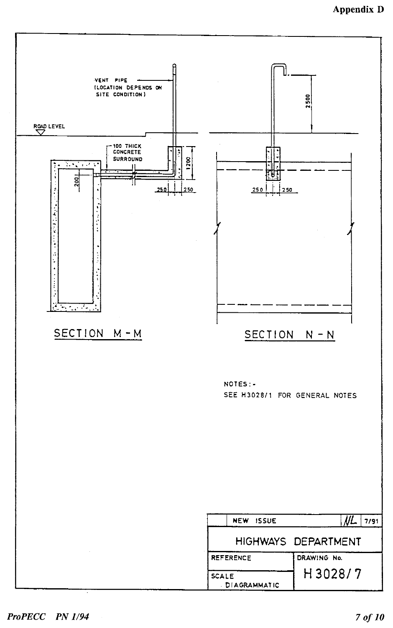

#### ProPECC PN 1/94

 $\sim$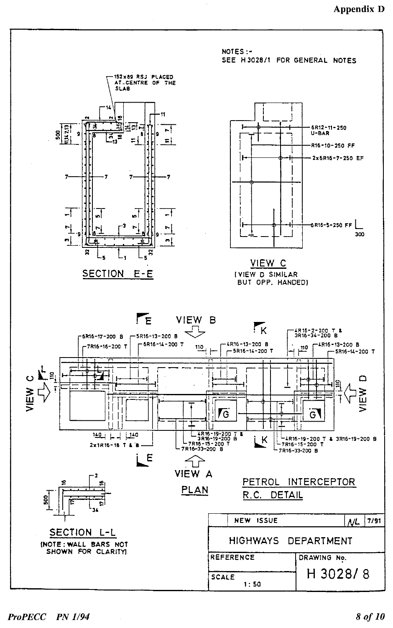

#### ProPECC PN 1/94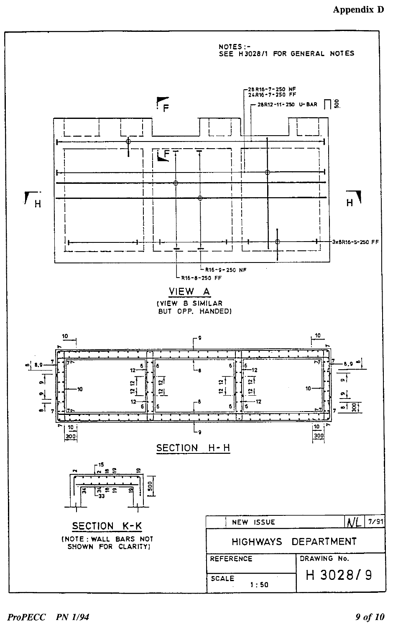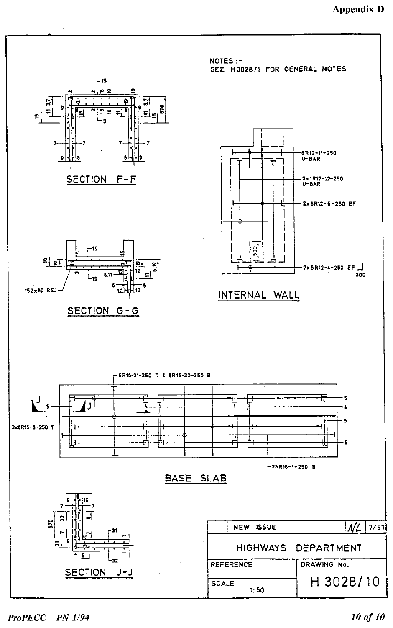

ProPECC PN 1/94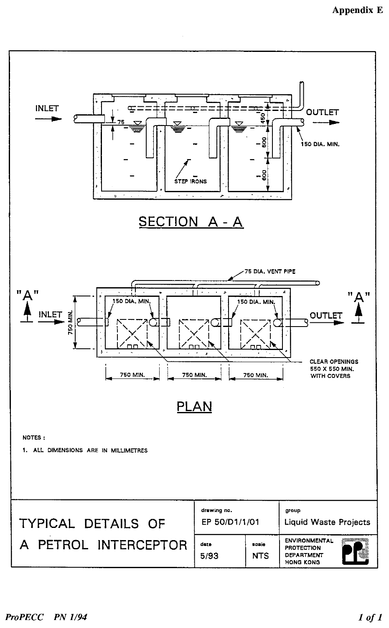